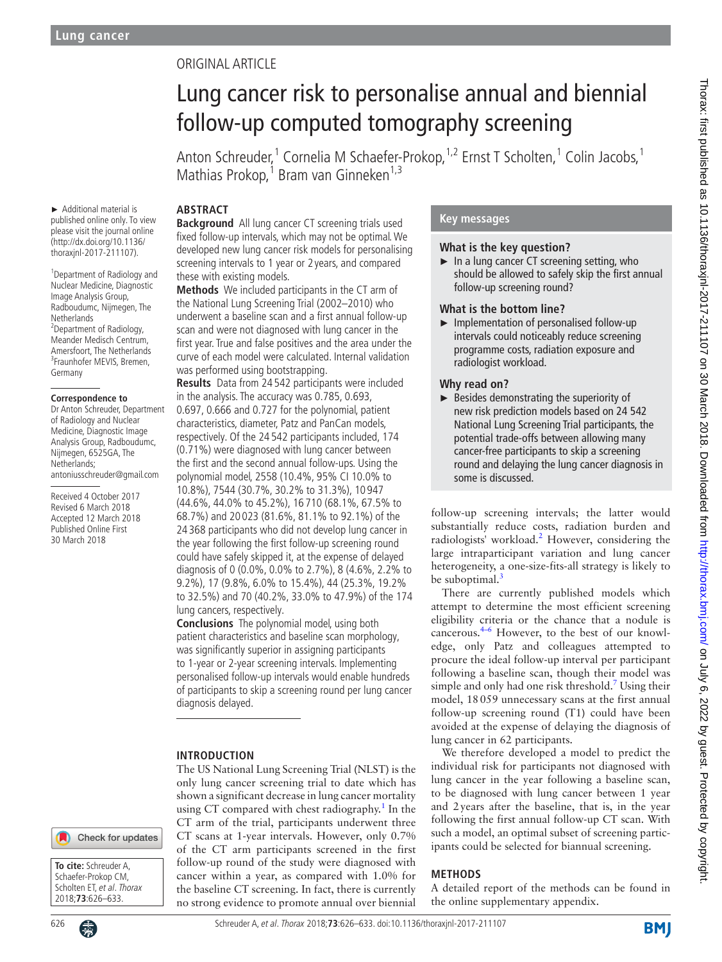# Original article

# Lung cancer risk to personalise annual and biennial follow-up computed tomography screening

Anton Schreuder,<sup>1</sup> Cornelia M Schaefer-Prokop,<sup>1,2</sup> Ernst T Scholten,<sup>1</sup> Colin Jacobs,<sup>1</sup> Mathias Prokop,<sup>1</sup> Bram van Ginneken<sup>1,3</sup>

## **Abstract**

► Additional material is published online only. To view please visit the journal online (http://dx.doi.org/10.1136/ thoraxjnl-2017-211107).

1 Department of Radiology and Nuclear Medicine, Diagnostic Image Analysis Group, Radboudumc, Nijmegen, The **Netherlands** <sup>2</sup>Department of Radiology, Meander Medisch Centrum, Amersfoort, The Netherlands <sup>3</sup>Fraunhofer MEVIS, Bremen, Germany

#### **Correspondence to**

Dr Anton Schreuder, Department of Radiology and Nuclear Medicine, Diagnostic Image Analysis Group, Radboudumc, Nijmegen, 6525GA, The Netherlands; antoniusschreuder@gmail.com

Received 4 October 2017 Revised 6 March 2018 Accepted 12 March 2018 Published Online First 30 March 2018

**Background** All lung cancer CT screening trials used fixed follow-up intervals, which may not be optimal. We developed new lung cancer risk models for personalising screening intervals to 1 year or 2 years, and compared these with existing models.

**Methods** We included participants in the CT arm of the National Lung Screening Trial (2002–2010) who underwent a baseline scan and a first annual follow-up scan and were not diagnosed with lung cancer in the first year. True and false positives and the area under the curve of each model were calculated. Internal validation was performed using bootstrapping.

**Results** Data from 24 542 participants were included in the analysis. The accuracy was 0.785, 0.693, 0.697, 0.666 and 0.727 for the polynomial, patient characteristics, diameter, Patz and PanCan models, respectively. Of the 24 542 participants included, 174 (0.71%) were diagnosed with lung cancer between the first and the second annual follow-ups. Using the polynomial model, 2558 (10.4%, 95% CI 10.0% to 10.8%), 7544 (30.7%, 30.2% to 31.3%), 10 947 (44.6%, 44.0% to 45.2%), 16 710 (68.1%, 67.5% to 68.7%) and 20 023 (81.6%, 81.1% to 92.1%) of the 24 368 participants who did not develop lung cancer in the year following the first follow-up screening round could have safely skipped it, at the expense of delayed diagnosis of 0 (0.0%, 0.0% to 2.7%), 8 (4.6%, 2.2% to 9.2%), 17 (9.8%, 6.0% to 15.4%), 44 (25.3%, 19.2% to 32.5%) and 70 (40.2%, 33.0% to 47.9%) of the 174 lung cancers, respectively.

**Conclusions** The polynomial model, using both patient characteristics and baseline scan morphology, was significantly superior in assigning participants to 1-year or 2-year screening intervals. Implementing personalised follow-up intervals would enable hundreds of participants to skip a screening round per lung cancer diagnosis delayed.

## **Introduction**

The US National Lung Screening Trial (NLST) is the only lung cancer screening trial to date which has shown a significant decrease in lung cancer mortality using CT compared with chest radiography.<sup>[1](#page-7-0)</sup> In the CT arm of the trial, participants underwent three CT scans at 1-year intervals. However, only 0.7% of the CT arm participants screened in the first follow-up round of the study were diagnosed with cancer within a year, as compared with 1.0% for the baseline CT screening. In fact, there is currently no strong evidence to promote annual over biennial

## **Key messages**

## **What is the key question?**

► In a lung cancer CT screening setting, who should be allowed to safely skip the first annual follow-up screening round?

#### **What is the bottom line?**

► Implementation of personalised follow-up intervals could noticeably reduce screening programme costs, radiation exposure and radiologist workload.

## **Why read on?**

► Besides demonstrating the superiority of new risk prediction models based on 24 542 National Lung Screening Trial participants, the potential trade-offs between allowing many cancer-free participants to skip a screening round and delaying the lung cancer diagnosis in some is discussed.

follow-up screening intervals; the latter would substantially reduce costs, radiation burden and radiologists' workload.<sup>[2](#page-7-1)</sup> However, considering the large intraparticipant variation and lung cancer heterogeneity, a one-size-fits-all strategy is likely to be suboptimal. $\frac{3}{2}$ 

There are currently published models which attempt to determine the most efficient screening eligibility criteria or the chance that a nodule is cancerous[.4–6](#page-7-3) However, to the best of our knowledge, only Patz and colleagues attempted to procure the ideal follow-up interval per participant following a baseline scan, though their model was simple and only had one risk threshold.<sup>[7](#page-7-4)</sup> Using their model, 18059 unnecessary scans at the first annual follow-up screening round (T1) could have been avoided at the expense of delaying the diagnosis of lung cancer in 62 participants.

We therefore developed a model to predict the individual risk for participants not diagnosed with lung cancer in the year following a baseline scan, to be diagnosed with lung cancer between 1 year and 2years after the baseline, that is, in the year following the first annual follow-up CT scan. With such a model, an optimal subset of screening participants could be selected for biannual screening.

## **Methods**

A detailed report of the methods can be found in the online [supplementary appendix.](https://dx.doi.org/10.1136/thoraxjnl-2017-211107)

Check for updates

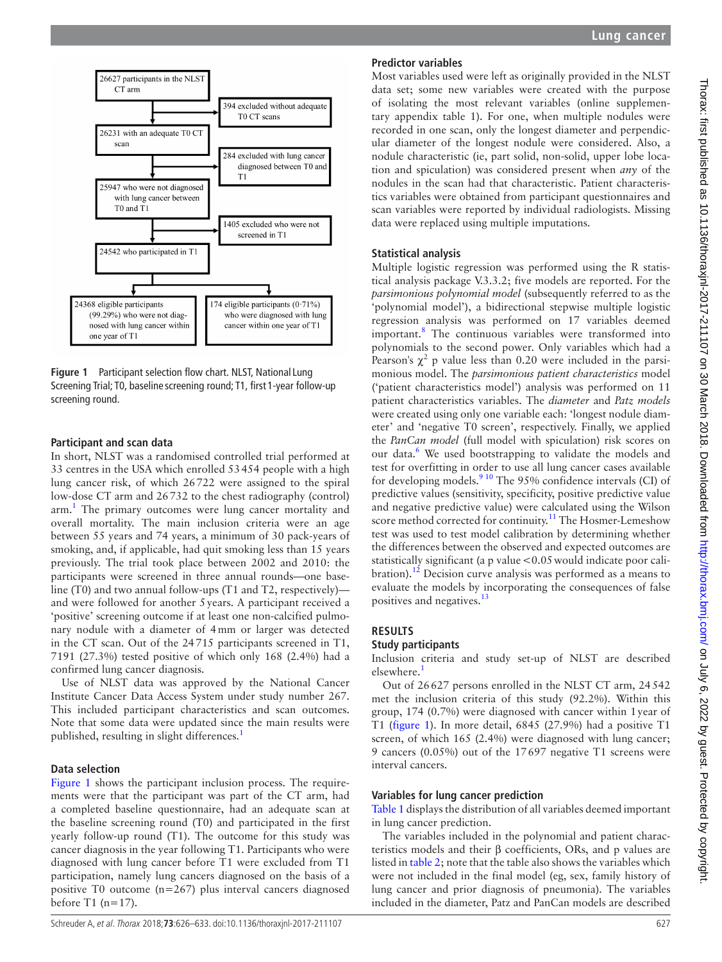

<span id="page-1-0"></span>**Figure 1** Participant selection flow chart. NLST, National Lung Screening Trial; T0, baseline screening round; T1, first 1-year follow-up screening round.

## **Participant and scan data**

In short, NLST was a randomised controlled trial performed at 33 centres in the USA which enrolled 53454 people with a high lung cancer risk, of which 26722 were assigned to the spiral low-dose CT arm and 26732 to the chest radiography (control) arm.<sup>[1](#page-7-0)</sup> The primary outcomes were lung cancer mortality and overall mortality. The main inclusion criteria were an age between 55 years and 74 years, a minimum of 30 pack-years of smoking, and, if applicable, had quit smoking less than 15 years previously. The trial took place between 2002 and 2010: the participants were screened in three annual rounds—one baseline (T0) and two annual follow-ups (T1 and T2, respectively) and were followed for another 5years. A participant received a 'positive' screening outcome if at least one non-calcified pulmonary nodule with a diameter of 4mm or larger was detected in the CT scan. Out of the 24715 participants screened in T1, 7191 (27.3%) tested positive of which only 168 (2.4%) had a confirmed lung cancer diagnosis.

Use of NLST data was approved by the National Cancer Institute Cancer Data Access System under study number 267. This included participant characteristics and scan outcomes. Note that some data were updated since the main results were published, resulting in slight differences.<sup>[1](#page-7-0)</sup>

## **Data selection**

[Figure](#page-1-0) 1 shows the participant inclusion process. The requirements were that the participant was part of the CT arm, had a completed baseline questionnaire, had an adequate scan at the baseline screening round (T0) and participated in the first yearly follow-up round (T1). The outcome for this study was cancer diagnosis in the year following T1. Participants who were diagnosed with lung cancer before T1 were excluded from T1 participation, namely lung cancers diagnosed on the basis of a positive T0 outcome (n=267) plus interval cancers diagnosed before T1 ( $n=17$ ).

# **Predictor variables**

Most variables used were left as originally provided in the NLST data set; some new variables were created with the purpose of isolating the most relevant variables (online [supplemen](https://dx.doi.org/10.1136/thoraxjnl-2017-211107)[tary appendix table 1\)](https://dx.doi.org/10.1136/thoraxjnl-2017-211107). For one, when multiple nodules were recorded in one scan, only the longest diameter and perpendicular diameter of the longest nodule were considered. Also, a nodule characteristic (ie, part solid, non-solid, upper lobe location and spiculation) was considered present when *any* of the nodules in the scan had that characteristic. Patient characteristics variables were obtained from participant questionnaires and scan variables were reported by individual radiologists. Missing data were replaced using multiple imputations.

## **Statistical analysis**

Multiple logistic regression was performed using the R statistical analysis package V.3.3.2; five models are reported. For the *parsimonious polynomial model* (subsequently referred to as the 'polynomial model'), a bidirectional stepwise multiple logistic regression analysis was performed on 17 variables deemed important.<sup>[8](#page-7-5)</sup> The continuous variables were transformed into polynomials to the second power. Only variables which had a Pearson's  $\chi^2$  p value less than 0.20 were included in the parsimonious model. The *parsimonious patient characteristics* model ('patient characteristics model') analysis was performed on 11 patient characteristics variables. The *diameter* and *Patz models* were created using only one variable each: 'longest nodule diameter' and 'negative T0 screen', respectively. Finally, we applied the *PanCan model* (full model with spiculation) risk scores on our data.<sup>6</sup> We used bootstrapping to validate the models and test for overfitting in order to use all lung cancer cases available for developing models.<sup>9 10</sup> The 95% confidence intervals (CI) of predictive values (sensitivity, specificity, positive predictive value and negative predictive value) were calculated using the Wilson score method corrected for continuity.<sup>[11](#page-7-8)</sup> The Hosmer-Lemeshow test was used to test model calibration by determining whether the differences between the observed and expected outcomes are statistically significant (a p value <0.05 would indicate poor calibration).<sup>12</sup> Decision curve analysis was performed as a means to evaluate the models by incorporating the consequences of false positives and negatives.<sup>[13](#page-7-10)</sup>

# **Results**

## **Study participants**

Inclusion criteria and study set-up of NLST are described elsewhere.<sup>[1](#page-7-0)</sup>

Out of 26627 persons enrolled in the NLST CT arm, 24542 met the inclusion criteria of this study (92.2%). Within this group, 174 (0.7%) were diagnosed with cancer within 1year of T1 [\(figure](#page-1-0) 1). In more detail, 6845 (27.9%) had a positive T1 screen, of which 165 (2.4%) were diagnosed with lung cancer; 9 cancers (0.05%) out of the 17697 negative T1 screens were interval cancers.

## **Variables for lung cancer prediction**

[Table](#page-2-0) 1 displays the distribution of all variables deemed important in lung cancer prediction.

The variables included in the polynomial and patient characteristics models and their β coefficients, ORs, and p values are listed in [table](#page-3-0) 2; note that the table also shows the variables which were not included in the final model (eg, sex, family history of lung cancer and prior diagnosis of pneumonia). The variables included in the diameter, Patz and PanCan models are described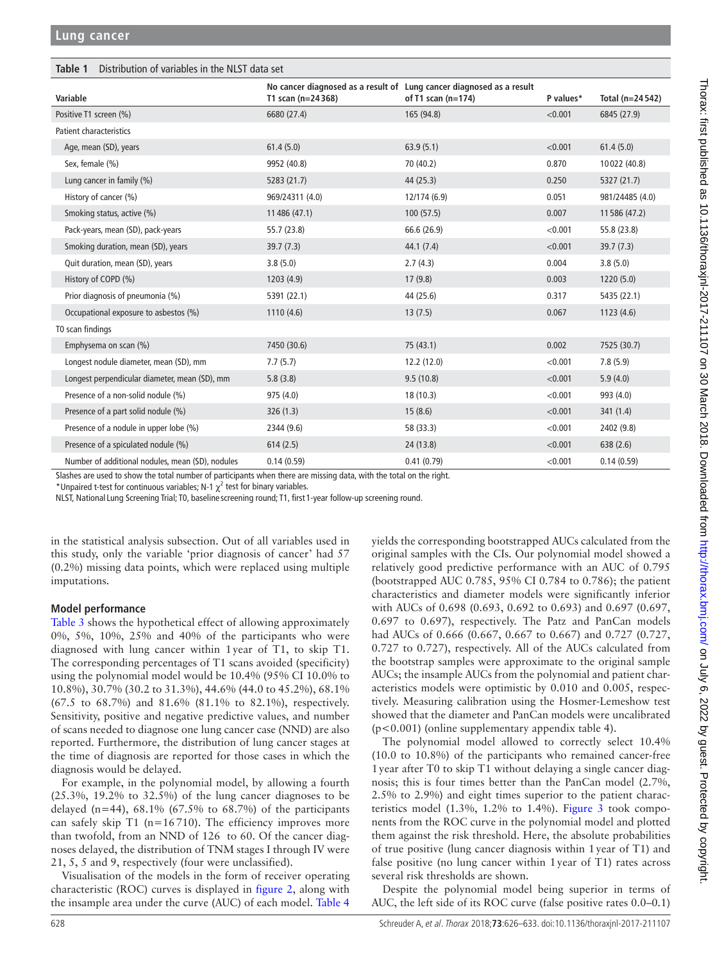<span id="page-2-0"></span>

| Distribution of variables in the NLST data set<br>Table 1 |                                                                                            |                      |           |                 |
|-----------------------------------------------------------|--------------------------------------------------------------------------------------------|----------------------|-----------|-----------------|
| Variable                                                  | No cancer diagnosed as a result of Lung cancer diagnosed as a result<br>T1 scan (n=24 368) | of T1 scan $(n=174)$ | P values* | Total (n=24542) |
| Positive T1 screen (%)                                    | 6680 (27.4)                                                                                | 165 (94.8)           | < 0.001   | 6845 (27.9)     |
| <b>Patient characteristics</b>                            |                                                                                            |                      |           |                 |
| Age, mean (SD), years                                     | 61.4(5.0)                                                                                  | 63.9(5.1)            | < 0.001   | 61.4(5.0)       |
| Sex, female (%)                                           | 9952 (40.8)                                                                                | 70 (40.2)            | 0.870     | 10022 (40.8)    |
| Lung cancer in family (%)                                 | 5283 (21.7)                                                                                | 44 (25.3)            | 0.250     | 5327 (21.7)     |
| History of cancer (%)                                     | 969/24311 (4.0)                                                                            | 12/174 (6.9)         | 0.051     | 981/24485 (4.0) |
| Smoking status, active (%)                                | 11 486 (47.1)                                                                              | 100(57.5)            | 0.007     | 11 586 (47.2)   |
| Pack-years, mean (SD), pack-years                         | 55.7 (23.8)                                                                                | 66.6 (26.9)          | < 0.001   | 55.8 (23.8)     |
| Smoking duration, mean (SD), years                        | 39.7(7.3)                                                                                  | 44.1(7.4)            | < 0.001   | 39.7(7.3)       |
| Quit duration, mean (SD), years                           | 3.8(5.0)                                                                                   | 2.7(4.3)             | 0.004     | 3.8(5.0)        |
| History of COPD (%)                                       | 1203 (4.9)                                                                                 | 17(9.8)              | 0.003     | 1220(5.0)       |
| Prior diagnosis of pneumonia (%)                          | 5391 (22.1)                                                                                | 44 (25.6)            | 0.317     | 5435 (22.1)     |
| Occupational exposure to asbestos (%)                     | 1110(4.6)                                                                                  | 13(7.5)              | 0.067     | 1123(4.6)       |
| T0 scan findings                                          |                                                                                            |                      |           |                 |
| Emphysema on scan (%)                                     | 7450 (30.6)                                                                                | 75 (43.1)            | 0.002     | 7525 (30.7)     |
| Longest nodule diameter, mean (SD), mm                    | 7.7(5.7)                                                                                   | 12.2(12.0)           | < 0.001   | 7.8(5.9)        |
| Longest perpendicular diameter, mean (SD), mm             | 5.8(3.8)                                                                                   | 9.5(10.8)            | < 0.001   | 5.9(4.0)        |
| Presence of a non-solid nodule (%)                        | 975 (4.0)                                                                                  | 18 (10.3)            | < 0.001   | 993 (4.0)       |
| Presence of a part solid nodule (%)                       | 326(1.3)                                                                                   | 15(8.6)              | < 0.001   | 341(1.4)        |
| Presence of a nodule in upper lobe (%)                    | 2344 (9.6)                                                                                 | 58 (33.3)            | < 0.001   | 2402 (9.8)      |
| Presence of a spiculated nodule (%)                       | 614(2.5)                                                                                   | 24 (13.8)            | < 0.001   | 638(2.6)        |
| Number of additional nodules, mean (SD), nodules          | 0.14(0.59)                                                                                 | 0.41(0.79)           | < 0.001   | 0.14(0.59)      |

Slashes are used to show the total number of participants when there are missing data, with the total on the right.

\*Unpaired t-test for continuous variables; N-1  $\chi^2$  test for binary variables.

NLST, National Lung Screening Trial; T0, baseline screening round; T1, first 1-year follow-up screening round.

in the statistical analysis subsection. Out of all variables used in this study, only the variable 'prior diagnosis of cancer' had 57 (0.2%) missing data points, which were replaced using multiple imputations.

# **Model performance**

[Table](#page-4-0) 3 shows the hypothetical effect of allowing approximately 0%, 5%, 10%, 25% and 40% of the participants who were diagnosed with lung cancer within 1year of T1, to skip T1. The corresponding percentages of T1 scans avoided (specificity) using the polynomial model would be 10.4% (95% CI 10.0% to 10.8%), 30.7% (30.2 to 31.3%), 44.6% (44.0 to 45.2%), 68.1% (67.5 to 68.7%) and 81.6% (81.1% to 82.1%), respectively. Sensitivity, positive and negative predictive values, and number of scans needed to diagnose one lung cancer case (NND) are also reported. Furthermore, the distribution of lung cancer stages at the time of diagnosis are reported for those cases in which the diagnosis would be delayed.

For example, in the polynomial model, by allowing a fourth (25.3%, 19.2% to 32.5%) of the lung cancer diagnoses to be delayed (n=44),  $68.1\%$  (67.5% to  $68.7\%$ ) of the participants can safely skip  $T1$  (n=16710). The efficiency improves more than twofold, from an NND of 126 to 60. Of the cancer diagnoses delayed, the distribution of TNM stages I through IV were 21, 5, 5 and 9, respectively (four were unclassified).

Visualisation of the models in the form of receiver operating characteristic (ROC) curves is displayed in [figure](#page-5-0) 2, along with the insample area under the curve (AUC) of each model. [Table](#page-5-1) 4

yields the corresponding bootstrapped AUCs calculated from the original samples with the CIs. Our polynomial model showed a relatively good predictive performance with an AUC of 0.795 (bootstrapped AUC 0.785, 95% CI 0.784 to 0.786); the patient characteristics and diameter models were significantly inferior with AUCs of 0.698 (0.693, 0.692 to 0.693) and 0.697 (0.697, 0.697 to 0.697), respectively. The Patz and PanCan models had AUCs of 0.666 (0.667, 0.667 to 0.667) and 0.727 (0.727, 0.727 to 0.727), respectively. All of the AUCs calculated from the bootstrap samples were approximate to the original sample AUCs; the insample AUCs from the polynomial and patient characteristics models were optimistic by 0.010 and 0.005, respectively. Measuring calibration using the Hosmer-Lemeshow test showed that the diameter and PanCan models were uncalibrated (p<0.001) (online [supplementary appendix table 4](https://dx.doi.org/10.1136/thoraxjnl-2017-211107)).

The polynomial model allowed to correctly select 10.4% (10.0 to 10.8%) of the participants who remained cancer-free 1year after T0 to skip T1 without delaying a single cancer diagnosis; this is four times better than the PanCan model (2.7%, 2.5% to 2.9%) and eight times superior to the patient characteristics model (1.3%, 1.2% to 1.4%). F[igure 3](#page-5-2) took components from the ROC curve in the polynomial model and plotted them against the risk threshold. Here, the absolute probabilities of true positive (lung cancer diagnosis within 1year of T1) and false positive (no lung cancer within 1year of T1) rates across several risk thresholds are shown.

Despite the polynomial model being superior in terms of AUC, the left side of its ROC curve (false positive rates 0.0–0.1)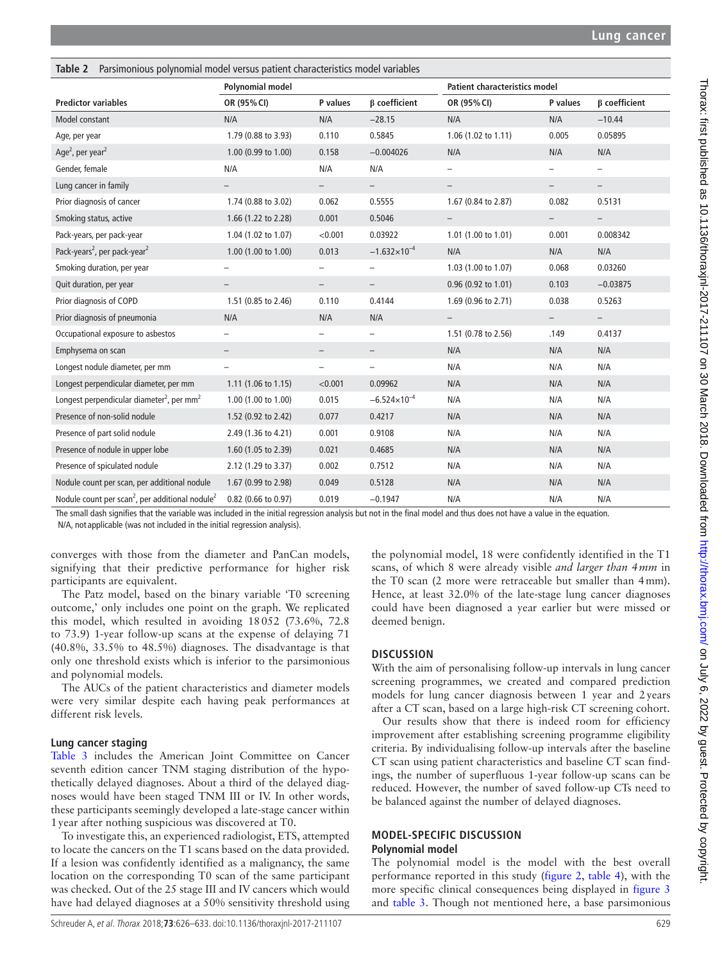<span id="page-3-0"></span>

| Table 2 Parsimonious polynomial model versus patient characteristics model variables |                          |                          |                          |                                      |                          |                          |
|--------------------------------------------------------------------------------------|--------------------------|--------------------------|--------------------------|--------------------------------------|--------------------------|--------------------------|
|                                                                                      | Polynomial model         |                          |                          | <b>Patient characteristics model</b> |                          |                          |
| <b>Predictor variables</b>                                                           | OR (95% CI)              | P values                 | <b>B</b> coefficient     | OR (95% CI)                          | P values                 | <b>B</b> coefficient     |
| Model constant                                                                       | N/A                      | N/A                      | $-28.15$                 | N/A                                  | N/A                      | $-10.44$                 |
| Age, per year                                                                        | 1.79 (0.88 to 3.93)      | 0.110                    | 0.5845                   | 1.06 (1.02 to 1.11)                  | 0.005                    | 0.05895                  |
| Age <sup>2</sup> , per year <sup>2</sup>                                             | 1.00 (0.99 to 1.00)      | 0.158                    | $-0.004026$              | N/A                                  | N/A                      | N/A                      |
| Gender, female                                                                       | N/A                      | N/A                      | N/A                      | $\qquad \qquad -$                    |                          | $\overline{\phantom{0}}$ |
| Lung cancer in family                                                                | $\qquad \qquad -$        |                          | $\qquad \qquad -$        | $\qquad \qquad -$                    | $\overline{\phantom{0}}$ | $\qquad \qquad -$        |
| Prior diagnosis of cancer                                                            | 1.74 (0.88 to 3.02)      | 0.062                    | 0.5555                   | 1.67 (0.84 to 2.87)                  | 0.082                    | 0.5131                   |
| Smoking status, active                                                               | 1.66 (1.22 to 2.28)      | 0.001                    | 0.5046                   | $\qquad \qquad -$                    | $\overline{\phantom{0}}$ | $\overline{\phantom{0}}$ |
| Pack-years, per pack-year                                                            | 1.04 (1.02 to 1.07)      | < 0.001                  | 0.03922                  | 1.01 (1.00 to 1.01)                  | 0.001                    | 0.008342                 |
| Pack-years <sup>2</sup> , per pack-year <sup>2</sup>                                 | 1.00 (1.00 to 1.00)      | 0.013                    | $-1.632\times10^{-4}$    | N/A                                  | N/A                      | N/A                      |
| Smoking duration, per year                                                           | $\overline{\phantom{0}}$ | $\qquad \qquad -$        | $\overline{\phantom{a}}$ | 1.03 (1.00 to 1.07)                  | 0.068                    | 0.03260                  |
| Quit duration, per year                                                              |                          | $\qquad \qquad -$        | $\overline{\phantom{m}}$ | 0.96 (0.92 to 1.01)                  | 0.103                    | $-0.03875$               |
| Prior diagnosis of COPD                                                              | 1.51 (0.85 to 2.46)      | 0.110                    | 0.4144                   | 1.69 (0.96 to 2.71)                  | 0.038                    | 0.5263                   |
| Prior diagnosis of pneumonia                                                         | N/A                      | N/A                      | N/A                      |                                      |                          |                          |
| Occupational exposure to asbestos                                                    |                          |                          |                          | 1.51 (0.78 to 2.56)                  | .149                     | 0.4137                   |
| Emphysema on scan                                                                    | $\qquad \qquad -$        | $\qquad \qquad -$        | $\overline{\phantom{a}}$ | N/A                                  | N/A                      | N/A                      |
| Longest nodule diameter, per mm                                                      | $\qquad \qquad -$        | $\overline{\phantom{m}}$ | $\qquad \qquad -$        | N/A                                  | N/A                      | N/A                      |
| Longest perpendicular diameter, per mm                                               | $1.11$ (1.06 to 1.15)    | < 0.001                  | 0.09962                  | N/A                                  | N/A                      | N/A                      |
| Longest perpendicular diameter <sup>2</sup> , per mm <sup>2</sup>                    | 1.00 (1.00 to 1.00)      | 0.015                    | $-6.524\times10^{-4}$    | N/A                                  | N/A                      | N/A                      |
| Presence of non-solid nodule                                                         | 1.52 (0.92 to 2.42)      | 0.077                    | 0.4217                   | N/A                                  | N/A                      | N/A                      |
| Presence of part solid nodule                                                        | 2.49 (1.36 to 4.21)      | 0.001                    | 0.9108                   | N/A                                  | N/A                      | N/A                      |
| Presence of nodule in upper lobe                                                     | 1.60 (1.05 to 2.39)      | 0.021                    | 0.4685                   | N/A                                  | N/A                      | N/A                      |
| Presence of spiculated nodule                                                        | 2.12 (1.29 to 3.37)      | 0.002                    | 0.7512                   | N/A                                  | N/A                      | N/A                      |
| Nodule count per scan, per additional nodule                                         | 1.67 (0.99 to 2.98)      | 0.049                    | 0.5128                   | N/A                                  | N/A                      | N/A                      |
| Nodule count per scan <sup>2</sup> , per additional nodule <sup>2</sup>              | 0.82 (0.66 to 0.97)      | 0.019                    | $-0.1947$                | N/A                                  | N/A                      | N/A                      |

The small dash signifies that the variable was included in the initial regression analysis but not in the final model and thus does not have a value in the equation.

N/A, not applicable (was not included in the initial regression analysis).

converges with those from the diameter and PanCan models, signifying that their predictive performance for higher risk participants are equivalent.

The Patz model, based on the binary variable 'T0 screening outcome,' only includes one point on the graph. We replicated this model, which resulted in avoiding 18052 (73.6%, 72.8 to 73.9) 1-year follow-up scans at the expense of delaying 71 (40.8%, 33.5% to 48.5%) diagnoses. The disadvantage is that only one threshold exists which is inferior to the parsimonious and polynomial models.

The AUCs of the patient characteristics and diameter models were very similar despite each having peak performances at different risk levels.

## **Lung cancer staging**

[Table](#page-4-0) 3 includes the American Joint Committee on Cancer seventh edition cancer TNM staging distribution of the hypothetically delayed diagnoses. About a third of the delayed diagnoses would have been staged TNM III or IV. In other words, these participants seemingly developed a late-stage cancer within 1year after nothing suspicious was discovered at T0.

To investigate this, an experienced radiologist, ETS, attempted to locate the cancers on the T1 scans based on the data provided. If a lesion was confidently identified as a malignancy, the same location on the corresponding T0 scan of the same participant was checked. Out of the 25 stage III and IV cancers which would have had delayed diagnoses at a 50% sensitivity threshold using

the polynomial model, 18 were confidently identified in the T1 scans, of which 8 were already visible *and larger than 4mm* in the T0 scan (2 more were retraceable but smaller than 4mm). Hence, at least 32.0% of the late-stage lung cancer diagnoses could have been diagnosed a year earlier but were missed or deemed benign.

# **Discussion**

With the aim of personalising follow-up intervals in lung cancer screening programmes, we created and compared prediction models for lung cancer diagnosis between 1 year and 2years after a CT scan, based on a large high-risk CT screening cohort.

Our results show that there is indeed room for efficiency improvement after establishing screening programme eligibility criteria. By individualising follow-up intervals after the baseline CT scan using patient characteristics and baseline CT scan findings, the number of superfluous 1-year follow-up scans can be reduced. However, the number of saved follow-up CTs need to be balanced against the number of delayed diagnoses.

## **Model-specific discussion Polynomial model**

The polynomial model is the model with the best overall performance reported in this study [\(figure](#page-5-0) 2, [table](#page-5-1) 4), with the more specific clinical consequences being displayed in [figure](#page-5-2) 3 and [table](#page-4-0) 3. Though not mentioned here, a base parsimonious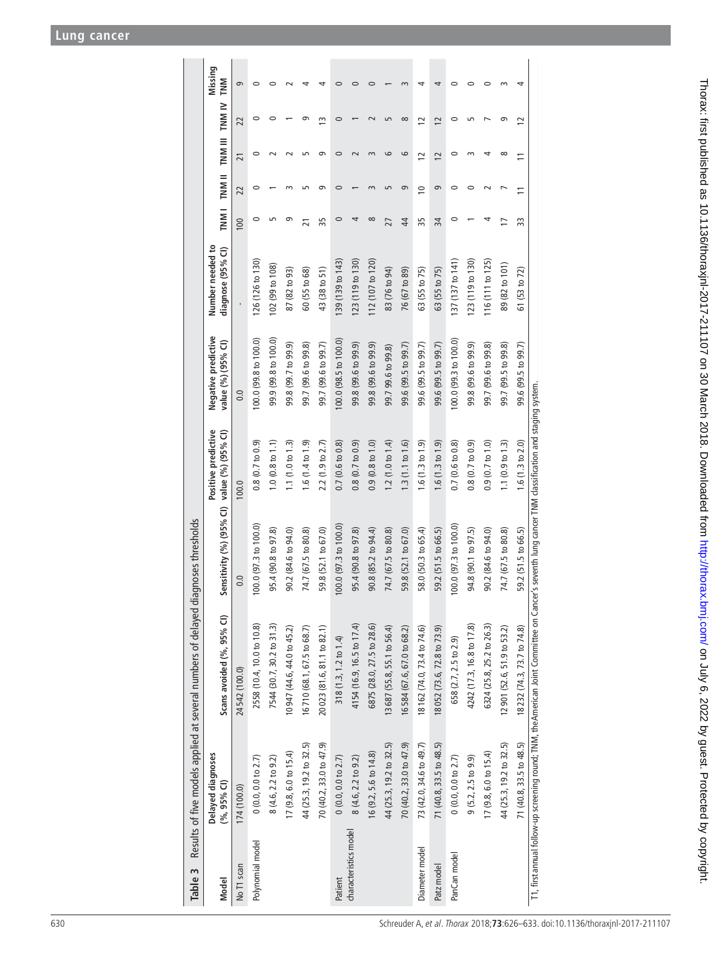<span id="page-4-0"></span>

|                       |                                  | Table 3 Results of five models applied at several numbers of delayed diagnoses thresholds                                                            |                                             |                             |                                           |                                       |                |                |                             |                |                |
|-----------------------|----------------------------------|------------------------------------------------------------------------------------------------------------------------------------------------------|---------------------------------------------|-----------------------------|-------------------------------------------|---------------------------------------|----------------|----------------|-----------------------------|----------------|----------------|
| Model                 | Delayed diagnoses<br>(%, 95% CI) | Scans avoided (%, 95% CI)                                                                                                                            | Sensitivity (%) (95% CI) value (%) (95% CI) | Positive predictive         | Negative predictive<br>value (%) (95% CI) | Number needed to<br>diagnose (95% CI) |                |                | TNM I TNM II TNM III TNM IV |                | Missing<br>TNM |
| No T1 scan            | 174 (100.0)                      | 24542 (100.0)                                                                                                                                        | 0.0                                         | 100.0                       | 0.0                                       |                                       | 100            | 22             | $\overline{21}$             | 22             | 9              |
| Polynomial model      | $0(0.0, 0.0$ to $2.7)$           | 2558 (10.4, 10.0 to 10.8)                                                                                                                            | $100.0$ (97.3 to 100.0)                     | $0.8(0.7 t_0 0.9)$          | 100.0 (99.8 to 100.0)                     | 126 (126 to 130)                      | 0              |                |                             | 0              | 0              |
|                       | 8 (4.6, 2.2 to 9.2)              | 7544 (30.7, 30.2 to 31.3)                                                                                                                            | 95.4 (90.8 to 97.8)                         | 1.0 (0.8 to 1.1)            | 99.9 (99.8 to 100.0)                      | 102 (99 to 108)                       |                |                |                             | c              | c              |
|                       | $17(9.8, 6.0 \text{ to } 15.4)$  | 10947 (44.6, 44.0 to 45.2)                                                                                                                           | 90.2 (84.6 to 94.0)                         | 1.1 $(1.0 to 1.3)$          | 99.8 (99.7 to 99.9)                       | 87 (82 to 93)                         |                |                |                             |                |                |
|                       | 44 (25.3, 19.2 to 32.5)          | 16710 (68.1, 67.5 to 68.7)                                                                                                                           | 74.7 (67.5 to 80.8)                         | 1.6(1.4 to 1.9)             | 99.7 (99.6 to 99.8)                       | 60 (55 to 68)                         | $\overline{2}$ |                |                             |                |                |
|                       | 70 (40.2, 33.0 to 47.9)          | 20023 (81.6, 81.1 to 82.1)                                                                                                                           | 59.8 (52.1 to 67.0)                         | 2.2(1.9 to 2.7)             | 99.7 (99.6 to 99.7)                       | 43 (38 to 51)                         | 55             | ഗ              | ഐ                           | ≘              |                |
| Patient               | $0(0.0, 0.0$ to $2.7)$           | 318 (1.3, 1.2 to 1.4)                                                                                                                                | $100.0$ (97.3 to $100.0$ )                  | 0.7(0.6 t 0.8)              | 100.0 (98.5 to 100.0)                     | 139 (139 to 143)                      | $\circ$        | $\circ$        | $\circ$                     | $\circ$        | 0              |
| characteristics model | 8 (4.6, 2.2 to 9.2)              | 4154 (16.9, 16.5 to 17.4)                                                                                                                            | 95.4 (90.8 to 97.8)                         | 0.8(0.7 t 0.9)              | 99.8 (99.6 to 99.9)                       | 123 (119 to 130)                      |                |                |                             |                |                |
|                       | 16 (9.2, 5.6 to 14.8)            | 6875 (28.0, 27.5 to 28.6)                                                                                                                            | 90.8 (85.2 to 94.4)                         | $0.9(0.8 \text{ to } 1.0)$  | 99.8 (99.6 to 99.9)                       | 112 (107 to 120)                      | $\infty$       |                |                             |                |                |
|                       | 44 (25.3, 19.2 to 32.5)          | 13687 (55.8, 55.1 to 56.4)                                                                                                                           | 74.7 (67.5 to 80.8)                         | 1.2(1.0 to 1.4)             | 99.7 99.6 to 99.8)                        | 83 (76 to 94)                         | 27             |                | 6                           |                |                |
|                       | 70 (40.2, 33.0 to 47.9)          | 16584 (67.6, 67.0 to 68.2)                                                                                                                           | 59.8 (52.1 to 67.0)                         | 1.3(1.1 to 1.6)             | 99.6 (99.5 to 99.7)                       | 76 (67 to 89)                         | $\overline{4}$ | 9              | 6                           | $\infty$       |                |
| Diameter model        | 73 (42.0, 34.6 to 49.7)          | 18162 (74.0, 73.4 to 74.6)                                                                                                                           | 58.0 (50.3 to 65.4)                         | 1.6(1.3 to 1.9)             | 99.6 (99.5 to 99.7)                       | 63 (55 to 75)                         | 35             | $\approx$      | $\overline{c}$              | $\overline{c}$ |                |
| Patz model            | 71 (40.8, 33.5 to 48.5)          | 18052 (73.6, 72.8 to 73.9)                                                                                                                           | 59.2 (51.5 to 66.5)                         | 1.6(1.3 to 1.9)             | 99.6 (99.5 to 99.7)                       | 63 (55 to 75)                         | 34             | 9              | $\overline{c}$              | $\overline{c}$ | 4              |
| PanCan model          | $0(0.0, 0.0$ to $2.7)$           | 658 (2.7, 2.5 to 2.9)                                                                                                                                | $100.0$ (97.3 to 100.0)                     | 0.7(0.6 t 0.8)              | 100.0 (99.3 to 100.0)                     | 137 (137 to 141)                      | 0              | 0              | 0                           | $\circ$        | $\circ$        |
|                       | 9(5.2, 2.5 to 9.9)               | 4242 (17.3, 16.8 to 17.8)                                                                                                                            | 94.8 (90.1 to 97.5)                         | 0.8(0.7 t 0.9)              | 99.8 (99.6 to 99.9)                       | (123(119 to 130))                     |                | $\circ$        |                             |                | 0              |
|                       | $17(9.8, 6.0 \text{ to } 15.4)$  | 6324 (25.8, 25.2 to 26.3)                                                                                                                            | 90.2 (84.6 to 94.0)                         | 0.9(0.7 t 0 1.0)            | 99.7 (99.6 to 99.8)                       | 116(111 to 125)                       |                |                | 4                           |                | 0              |
|                       | 44 (25.3, 19.2 to 32.5)          | 12 901 (52.6, 51.9 to 53.2)                                                                                                                          | 74.7 (67.5 to 80.8)                         | 1.1 $(0.9 \text{ to } 1.3)$ | 99.7 (99.5 to 99.8)                       | 89 (82 to 101)                        |                |                | $\infty$                    |                |                |
|                       | 71 (40.8, 33.5 to 48.5)          | 18232 (74.3, 73.7 to 74.8)                                                                                                                           | 59.2 (51.5 to 66.5)                         | 1.6(1.3 to 2.0)             | 99.6 (99.5 to 99.7)                       | 61 (53 to 72)                         | 33             | $\overline{1}$ | $\equiv$                    | 12             |                |
|                       |                                  | T1, first annual follow-up screening round; TNM, the American Joint Committee on Cancer's seventh lung cancer TNM classification and staging system. |                                             |                             |                                           |                                       |                |                |                             |                |                |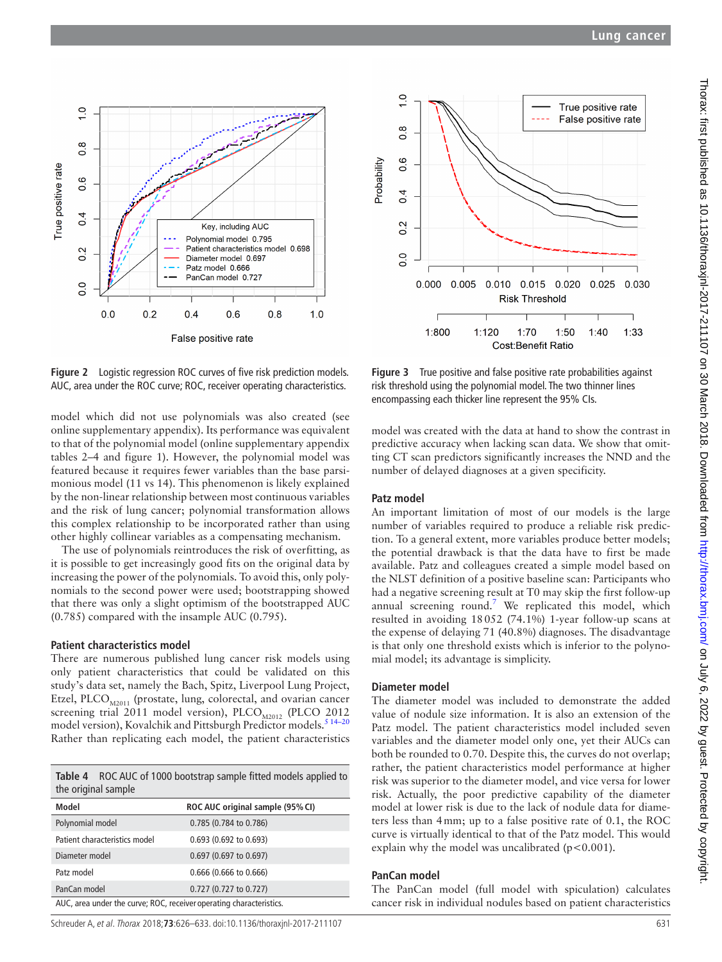

<span id="page-5-0"></span>**Figure 2** Logistic regression ROC curves of five risk prediction models. AUC, area under the ROC curve; ROC, receiver operating characteristics.

model which did not use polynomials was also created (see online [supplementary appendix\)](https://dx.doi.org/10.1136/thoraxjnl-2017-211107). Its performance was equivalent to that of the polynomial model (online [supplementary appendix](https://dx.doi.org/10.1136/thoraxjnl-2017-211107)  [tables 2–4 and figure 1\)](https://dx.doi.org/10.1136/thoraxjnl-2017-211107). However, the polynomial model was featured because it requires fewer variables than the base parsimonious model (11 vs 14). This phenomenon is likely explained by the non-linear relationship between most continuous variables and the risk of lung cancer; polynomial transformation allows this complex relationship to be incorporated rather than using other highly collinear variables as a compensating mechanism.

The use of polynomials reintroduces the risk of overfitting, as it is possible to get increasingly good fits on the original data by increasing the power of the polynomials. To avoid this, only polynomials to the second power were used; bootstrapping showed that there was only a slight optimism of the bootstrapped AUC (0.785) compared with the insample AUC (0.795).

#### **Patient characteristics model**

There are numerous published lung cancer risk models using only patient characteristics that could be validated on this study's data set, namely the Bach, Spitz, Liverpool Lung Project, Etzel, PLCO $_{\text{M2011}}$  (prostate, lung, colorectal, and ovarian cancer screening trial 2011 model version), PLCO<sub>M2012</sub> (PLCO 2012 model version), Kovalchik and Pittsburgh Predictor models.[5 14–20](#page-7-11) Rather than replicating each model, the patient characteristics

<span id="page-5-1"></span>**Table 4** ROC AUC of 1000 bootstrap sample fitted models applied to the original sample

| Model                                                               | ROC AUC original sample (95% CI) |  |
|---------------------------------------------------------------------|----------------------------------|--|
| Polynomial model                                                    | 0.785 (0.784 to 0.786)           |  |
| Patient characteristics model                                       | 0.693 (0.692 to 0.693)           |  |
| Diameter model                                                      | 0.697 (0.697 to 0.697)           |  |
| Patz model                                                          | 0.666 (0.666 to 0.666)           |  |
| PanCan model                                                        | 0.727 (0.727 to 0.727)           |  |
| AUC, area under the curve; ROC, receiver operating characteristics. |                                  |  |

Schreuder A, et al. Thorax 2018;**73**:626–633. doi:10.1136/thoraxjnl-2017-211107 631



<span id="page-5-2"></span>**Figure 3** True positive and false positive rate probabilities against risk threshold using the polynomial model. The two thinner lines encompassing each thicker line represent the 95% CIs.

model was created with the data at hand to show the contrast in predictive accuracy when lacking scan data. We show that omitting CT scan predictors significantly increases the NND and the number of delayed diagnoses at a given specificity.

## **Patz model**

An important limitation of most of our models is the large number of variables required to produce a reliable risk prediction. To a general extent, more variables produce better models; the potential drawback is that the data have to first be made available. Patz and colleagues created a simple model based on the NLST definition of a positive baseline scan: Participants who had a negative screening result at T0 may skip the first follow-up annual screening round.<sup>[7](#page-7-4)</sup> We replicated this model, which resulted in avoiding 18052 (74.1%) 1-year follow-up scans at the expense of delaying 71 (40.8%) diagnoses. The disadvantage is that only one threshold exists which is inferior to the polynomial model; its advantage is simplicity.

## **Diameter model**

The diameter model was included to demonstrate the added value of nodule size information. It is also an extension of the Patz model. The patient characteristics model included seven variables and the diameter model only one, yet their AUCs can both be rounded to 0.70. Despite this, the curves do not overlap; rather, the patient characteristics model performance at higher risk was superior to the diameter model, and vice versa for lower risk. Actually, the poor predictive capability of the diameter model at lower risk is due to the lack of nodule data for diameters less than 4mm; up to a false positive rate of 0.1, the ROC curve is virtually identical to that of the Patz model. This would explain why the model was uncalibrated  $(p<0.001)$ .

## **PanCan model**

The PanCan model (full model with spiculation) calculates cancer risk in individual nodules based on patient characteristics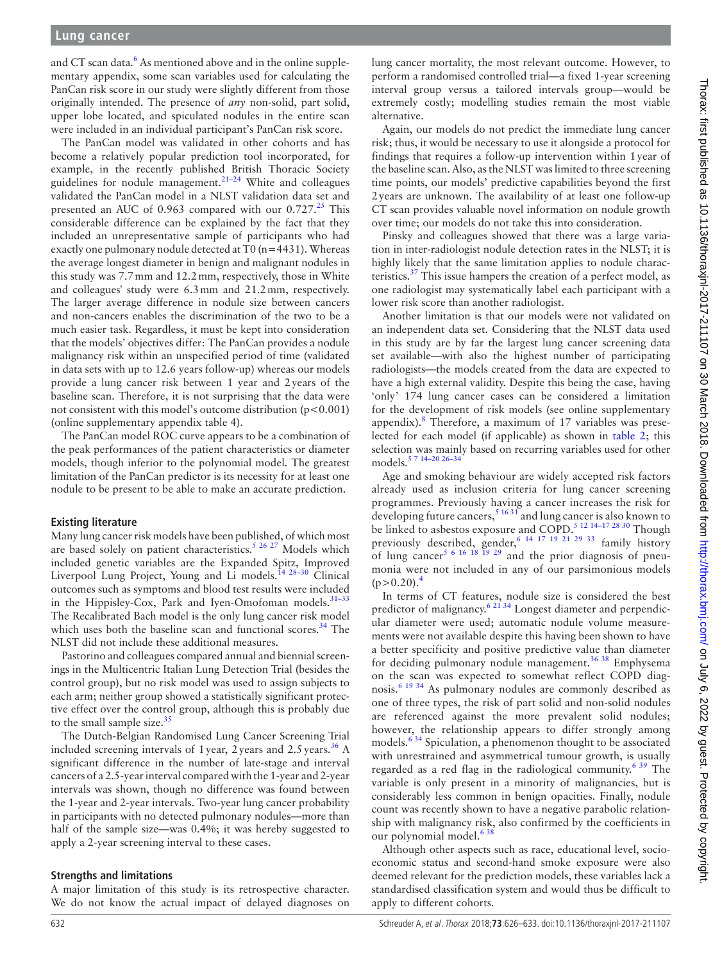and CT scan data.<sup>6</sup> As mentioned above and in the online [supple](https://dx.doi.org/10.1136/thoraxjnl-2017-211107)[mentary appendix,](https://dx.doi.org/10.1136/thoraxjnl-2017-211107) some scan variables used for calculating the PanCan risk score in our study were slightly different from those originally intended. The presence of *any* non-solid, part solid, upper lobe located, and spiculated nodules in the entire scan were included in an individual participant's PanCan risk score.

The PanCan model was validated in other cohorts and has become a relatively popular prediction tool incorporated, for example, in the recently published British Thoracic Society guidelines for nodule management.<sup>21-24</sup> White and colleagues validated the PanCan model in a NLST validation data set and presented an AUC of  $0.963$  compared with our  $0.727<sup>25</sup>$  $0.727<sup>25</sup>$  $0.727<sup>25</sup>$  This considerable difference can be explained by the fact that they included an unrepresentative sample of participants who had exactly one pulmonary nodule detected at  $T0$  (n=4431). Whereas the average longest diameter in benign and malignant nodules in this study was 7.7mm and 12.2mm, respectively, those in White and colleagues' study were 6.3mm and 21.2mm, respectively. The larger average difference in nodule size between cancers and non-cancers enables the discrimination of the two to be a much easier task. Regardless, it must be kept into consideration that the models' objectives differ: The PanCan provides a nodule malignancy risk within an unspecified period of time (validated in data sets with up to 12.6 years follow-up) whereas our models provide a lung cancer risk between 1 year and 2years of the baseline scan. Therefore, it is not surprising that the data were not consistent with this model's outcome distribution ( $p < 0.001$ ) (online [supplementary appendix table 4](https://dx.doi.org/10.1136/thoraxjnl-2017-211107)).

The PanCan model ROC curve appears to be a combination of the peak performances of the patient characteristics or diameter models, though inferior to the polynomial model. The greatest limitation of the PanCan predictor is its necessity for at least one nodule to be present to be able to make an accurate prediction.

#### **Existing literature**

Many lung cancer risk models have been published, of which most are based solely on patient characteristics.<sup>5 26 27</sup> Models which included genetic variables are the Expanded Spitz, Improved Liverpool Lung Project, Young and Li models.<sup>14 28-30</sup> Clinical outcomes such as symptoms and blood test results were included in the Hippisley-Cox, Park and Iyen-Omofoman models.<sup>31-33</sup> The Recalibrated Bach model is the only lung cancer risk model which uses both the baseline scan and functional scores.<sup>[34](#page-7-16)</sup> The NLST did not include these additional measures.

Pastorino and colleagues compared annual and biennial screenings in the Multicentric Italian Lung Detection Trial (besides the control group), but no risk model was used to assign subjects to each arm; neither group showed a statistically significant protective effect over the control group, although this is probably due to the small sample size. $35$ 

The Dutch-Belgian Randomised Lung Cancer Screening Trial included screening intervals of 1year, 2years and  $2.5 \text{ years.}^{36}$  A significant difference in the number of late-stage and interval cancers of a 2.5-year interval compared with the 1-year and 2-year intervals was shown, though no difference was found between the 1-year and 2-year intervals. Two-year lung cancer probability in participants with no detected pulmonary nodules—more than half of the sample size—was 0.4%; it was hereby suggested to apply a 2-year screening interval to these cases.

#### **Strengths and limitations**

A major limitation of this study is its retrospective character. We do not know the actual impact of delayed diagnoses on

lung cancer mortality, the most relevant outcome. However, to perform a randomised controlled trial—a fixed 1-year screening interval group versus a tailored intervals group—would be extremely costly; modelling studies remain the most viable alternative.

Again, our models do not predict the immediate lung cancer risk; thus, it would be necessary to use it alongside a protocol for findings that requires a follow-up intervention within 1year of the baseline scan. Also, as the NLST was limited to three screening time points, our models' predictive capabilities beyond the first 2years are unknown. The availability of at least one follow-up CT scan provides valuable novel information on nodule growth over time; our models do not take this into consideration.

Pinsky and colleagues showed that there was a large variation in inter-radiologist nodule detection rates in the NLST; it is highly likely that the same limitation applies to nodule characteristics. $37$  This issue hampers the creation of a perfect model, as one radiologist may systematically label each participant with a lower risk score than another radiologist.

Another limitation is that our models were not validated on an independent data set. Considering that the NLST data used in this study are by far the largest lung cancer screening data set available—with also the highest number of participating radiologists—the models created from the data are expected to have a high external validity. Despite this being the case, having 'only' 174 lung cancer cases can be considered a limitation for the development of risk models (see online [supplementary](https://dx.doi.org/10.1136/thoraxjnl-2017-211107) [appendix\)](https://dx.doi.org/10.1136/thoraxjnl-2017-211107).<sup>8</sup> Therefore, a maximum of 17 variables was preselected for each model (if applicable) as shown in [table](#page-3-0) 2; this selection was mainly based on recurring variables used for other models.<sup>5 7</sup> 14-20 26-3

Age and smoking behaviour are widely accepted risk factors already used as inclusion criteria for lung cancer screening programmes. Previously having a cancer increases the risk for developing future cancers,  $5^{1631}$  and lung cancer is also known to be linked to asbestos exposure and COPD.<sup>5 12 14-17 28 30</sup> Though previously described, gender,<sup>[6 14 17 19 21 29 33](#page-7-6)</sup> family history of lung cancer<sup>[5 6 16 18 19 29](#page-7-11)</sup> and the prior diagnosis of pneumonia were not included in any of our parsimonious models  $(p>0.20)$ .<sup>[4](#page-7-3)</sup>

In terms of CT features, nodule size is considered the best predictor of malignancy.<sup>6 21 34</sup> Longest diameter and perpendicular diameter were used; automatic nodule volume measurements were not available despite this having been shown to have a better specificity and positive predictive value than diameter for deciding pulmonary nodule management.<sup>36 38</sup> Emphysema on the scan was expected to somewhat reflect COPD diagnosis.<sup>6 19 34</sup> As pulmonary nodules are commonly described as one of three types, the risk of part solid and non-solid nodules are referenced against the more prevalent solid nodules; however, the relationship appears to differ strongly among models.<sup>634</sup> Spiculation, a phenomenon thought to be associated with unrestrained and asymmetrical tumour growth, is usually regarded as a red flag in the radiological community.<sup>[6 39](#page-7-6)</sup> The variable is only present in a minority of malignancies, but is considerably less common in benign opacities. Finally, nodule count was recently shown to have a negative parabolic relationship with malignancy risk, also confirmed by the coefficients in our polynomial model.<sup>638</sup>

Although other aspects such as race, educational level, socioeconomic status and second-hand smoke exposure were also deemed relevant for the prediction models, these variables lack a standardised classification system and would thus be difficult to apply to different cohorts.